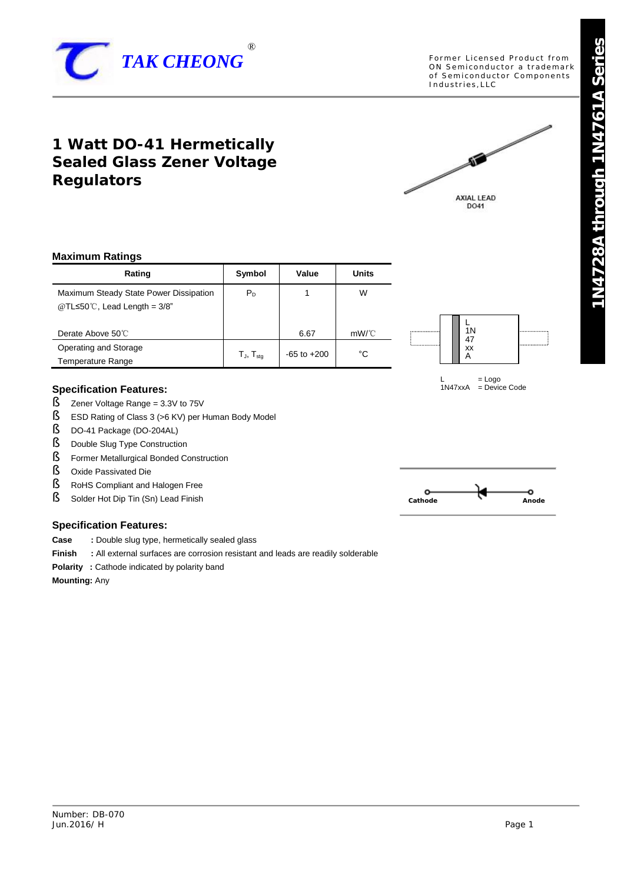

Former Licensed Product from ON Semiconductor a trademark of Semiconductor Components Industries, LLC

# **1 Watt DO-41 Hermetically Sealed Glass Zener Voltage Regulators**



### **Maximum Ratings**

| Rating                                                                                | Symbol              | Value           | Units |
|---------------------------------------------------------------------------------------|---------------------|-----------------|-------|
| Maximum Steady State Power Dissipation<br>@TL $\leq 50^{\circ}$ C, Lead Length = 3/8" | $P_{D}$             |                 | W     |
| Derate Above 50°C                                                                     |                     | 6.67            | mW/C  |
| Operating and Storage<br><b>Temperature Range</b>                                     | $T_{J}$ , $T_{sta}$ | $-65$ to $+200$ | °C    |

#### **Specification Features:**

- $\S$  Zener Voltage Range = 3.3V to 75V
- § ESD Rating of Class 3 (>6 KV) per Human Body Model<br>§ DO-41 Package (DO-204AL)
- § DO-41 Package (DO-204AL)<br>§ Double Slug Type Construction
- § Double Slug Type Construction
- $\S$  Former Metallurgical Bonded Construction<br> $\S$  Oxide Passivated Die
- § Oxide Passivated Die
- § RoHS Compliant and Halogen Free
- § Solder Hot Dip Tin (Sn) Lead Finish

# **Specification Features:**

- **Case :** Double slug type, hermetically sealed glass
- **Finish** : All external surfaces are corrosion resistant and leads are readily solderable
- **Polarity :** Cathode indicated by polarity band

**Mounting:** Any





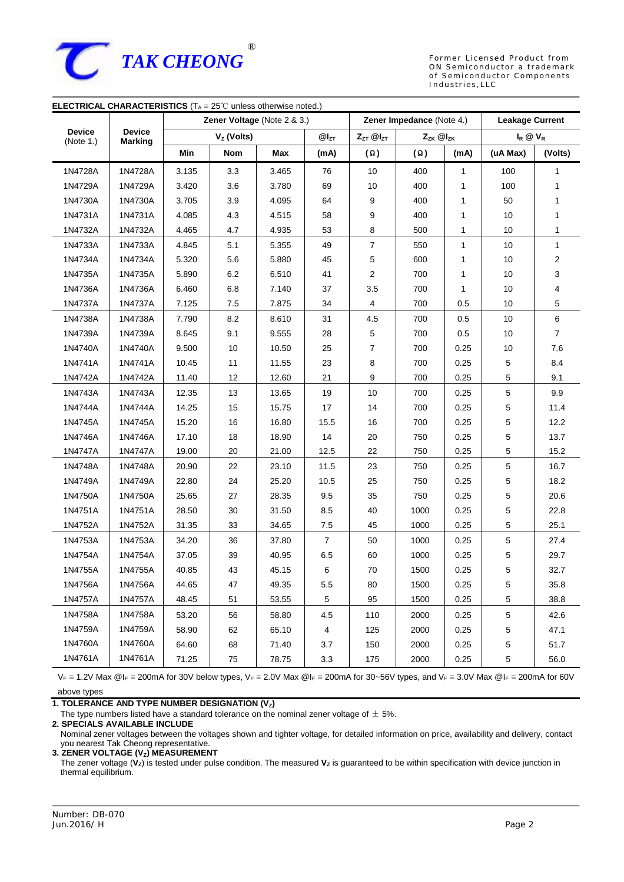

Former Licensed Product from ON Semiconductor a trademark of Semiconductor Components Industries, LLC

| <b>ELECTRICAL CHARACTERISTICS</b> ( $T_A = 25^\circ\text{C}$ unless otherwise noted.) |         |                             |            |           |                           |                  |            |                        |             |                |
|---------------------------------------------------------------------------------------|---------|-----------------------------|------------|-----------|---------------------------|------------------|------------|------------------------|-------------|----------------|
|                                                                                       |         | Zener Voltage (Note 2 & 3.) |            |           | Zener Impedance (Note 4.) |                  |            | <b>Leakage Current</b> |             |                |
| <b>Device</b><br><b>Device</b><br>(Note 1.)<br><b>Marking</b>                         |         | Vz (Volts)                  |            | $@l_{ZT}$ | $Z_{ZT}$ $@I_{ZT}$        | Zzk @Izk         |            | $I_R \otimes V_R$      |             |                |
|                                                                                       |         | Min                         | <b>Nom</b> | Max       | (mA)                      | $(\Omega)$       | $(\Omega)$ | (mA)                   | (uA Max)    | (Volts)        |
| 1N4728A                                                                               | 1N4728A | 3.135                       | 3.3        | 3.465     | 76                        | 10               | 400        | 1                      | 100         | 1              |
| 1N4729A                                                                               | 1N4729A | 3.420                       | 3.6        | 3.780     | 69                        | 10               | 400        | 1                      | 100         | 1              |
| 1N4730A                                                                               | 1N4730A | 3.705                       | 3.9        | 4.095     | 64                        | 9                | 400        | 1                      | 50          | 1              |
| 1N4731A                                                                               | 1N4731A | 4.085                       | 4.3        | 4.515     | 58                        | 9                | 400        | 1                      | 10          | 1              |
| 1N4732A                                                                               | 1N4732A | 4.465                       | 4.7        | 4.935     | 53                        | 8                | 500        | 1                      | 10          | 1              |
| 1N4733A                                                                               | 1N4733A | 4.845                       | 5.1        | 5.355     | 49                        | $\boldsymbol{7}$ | 550        | 1                      | 10          | 1              |
| 1N4734A                                                                               | 1N4734A | 5.320                       | 5.6        | 5.880     | 45                        | 5                | 600        | 1                      | 10          | 2              |
| 1N4735A                                                                               | 1N4735A | 5.890                       | 6.2        | 6.510     | 41                        | 2                | 700        | 1                      | 10          | 3              |
| 1N4736A                                                                               | 1N4736A | 6.460                       | 6.8        | 7.140     | 37                        | 3.5              | 700        | 1                      | 10          | 4              |
| 1N4737A                                                                               | 1N4737A | 7.125                       | 7.5        | 7.875     | 34                        | 4                | 700        | 0.5                    | 10          | 5              |
| 1N4738A                                                                               | 1N4738A | 7.790                       | 8.2        | 8.610     | 31                        | 4.5              | 700        | 0.5                    | 10          | 6              |
| 1N4739A                                                                               | 1N4739A | 8.645                       | 9.1        | 9.555     | 28                        | 5                | 700        | 0.5                    | 10          | $\overline{7}$ |
| 1N4740A                                                                               | 1N4740A | 9.500                       | $10$       | 10.50     | 25                        | $\overline{7}$   | 700        | 0.25                   | $10$        | $7.6$          |
| 1N4741A                                                                               | 1N4741A | 10.45                       | 11         | 11.55     | 23                        | 8                | 700        | 0.25                   | 5           | 8.4            |
| 1N4742A                                                                               | 1N4742A | 11.40                       | 12         | 12.60     | 21                        | 9                | 700        | 0.25                   | 5           | 9.1            |
| 1N4743A                                                                               | 1N4743A | 12.35                       | 13         | 13.65     | 19                        | 10               | 700        | 0.25                   | $\,$ 5 $\,$ | 9.9            |
| 1N4744A                                                                               | 1N4744A | 14.25                       | 15         | 15.75     | 17                        | 14               | 700        | 0.25                   | $\,$ 5 $\,$ | 11.4           |
| 1N4745A                                                                               | 1N4745A | 15.20                       | $16\,$     | 16.80     | 15.5                      | $16\,$           | 700        | 0.25                   | 5           | 12.2           |
| 1N4746A                                                                               | 1N4746A | 17.10                       | 18         | 18.90     | 14                        | 20               | 750        | 0.25                   | 5           | 13.7           |
| 1N4747A                                                                               | 1N4747A | 19.00                       | 20         | 21.00     | 12.5                      | 22               | 750        | 0.25                   | 5           | 15.2           |
| 1N4748A                                                                               | 1N4748A | 20.90                       | 22         | 23.10     | 11.5                      | 23               | 750        | 0.25                   | $\,$ 5 $\,$ | 16.7           |
| 1N4749A                                                                               | 1N4749A | 22.80                       | 24         | 25.20     | 10.5                      | 25               | 750        | 0.25                   | $\,$ 5 $\,$ | 18.2           |
| 1N4750A                                                                               | 1N4750A | 25.65                       | 27         | 28.35     | 9.5                       | 35               | 750        | 0.25                   | 5           | 20.6           |
| 1N4751A                                                                               | 1N4751A | 28.50                       | 30         | 31.50     | 8.5                       | 40               | 1000       | 0.25                   | 5           | 22.8           |
| 1N4752A                                                                               | 1N4752A | 31.35                       | 33         | 34.65     | 7.5                       | 45               | 1000       | 0.25                   | 5           | 25.1           |
| 1N4753A                                                                               | 1N4753A | 34.20                       | 36         | 37.80     | $\overline{7}$            | 50               | 1000       | 0.25                   | $\,$ 5 $\,$ | 27.4           |
| 1N4754A                                                                               | 1N4754A | 37.05                       | 39         | 40.95     | $6.5\,$                   | 60               | 1000       | 0.25                   | $\,$ 5 $\,$ | 29.7           |
| 1N4755A                                                                               | 1N4755A | 40.85                       | 43         | 45.15     | 6                         | 70               | 1500       | 0.25                   | 5           | 32.7           |
| 1N4756A                                                                               | 1N4756A | 44.65                       | 47         | 49.35     | 5.5                       | 80               | 1500       | 0.25                   | 5           | 35.8           |
| 1N4757A                                                                               | 1N4757A | 48.45                       | 51         | 53.55     | 5                         | 95               | 1500       | 0.25                   | 5           | 38.8           |
| 1N4758A                                                                               | 1N4758A | 53.20                       | 56         | 58.80     | 4.5                       | 110              | 2000       | 0.25                   | $\sqrt{5}$  | 42.6           |
| 1N4759A                                                                               | 1N4759A | 58.90                       | 62         | 65.10     | $\overline{4}$            | 125              | 2000       | 0.25                   | 5           | 47.1           |
| 1N4760A                                                                               | 1N4760A | 64.60                       | 68         | 71.40     | 3.7                       | 150              | 2000       | 0.25                   | 5           | 51.7           |
| 1N4761A                                                                               | 1N4761A | 71.25                       | 75         | 78.75     | 3.3                       | 175              | 2000       | 0.25                   | 5           | 56.0           |

 $V_F = 1.2V$  Max  $@I_F = 200$ mA for 30V below types,  $V_F = 2.0V$  Max  $@I_F = 200$ mA for 30~56V types, and  $V_F = 3.0V$  Max  $@I_F = 200$ mA for 60V above types

**1. TOLERANCE AND TYPE NUMBER DESIGNATION (VZ)** 

The type numbers listed have a standard tolerance on the nominal zener voltage of  $\pm$  5%.

**2. SPECIALS AVAILABLE INCLUDE** 

Nominal zener voltages between the voltages shown and tighter voltage, for detailed information on price, availability and delivery, contact you nearest Tak Cheong representative.

**3. ZENER VOLTAGE (VZ) MEASUREMENT**  The zener voltage (**VZ**) is tested under pulse condition. The measured **V<sup>Z</sup>** is guaranteed to be within specification with device junction in thermal equilibrium.